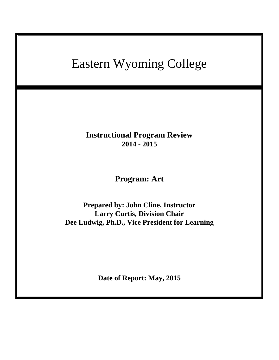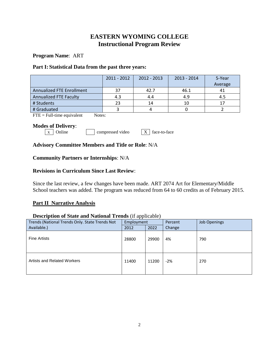## **EASTERN WYOMING COLLEGE Instructional Program Review**

**Program Name**: ART

### **Part I: Statistical Data from the past three years:**

|                                  | $2011 - 2012$ | $2012 - 2013$ | $2013 - 2014$ | 5-Year<br>Average |
|----------------------------------|---------------|---------------|---------------|-------------------|
| <b>Annualized FTE Enrollment</b> | 37            | 42.7          | 46.1          | 41                |
|                                  |               |               |               |                   |
| Annualized FTE Faculty           | 4.3           | 4.4           | 4.9           | 4.5               |
| # Students                       | 23            | 14            | 10            | ่ 1 ™ิ            |
| # Graduated                      |               |               |               |                   |

 $\overline{FTE} = \text{Full-time equivalent}$  Notes:

#### **Modes of Delivery**:

 $\boxed{x}$  Online compressed video  $\boxed{X}$  face-to-face

## **Advisory Committee Members and Title or Role**: N/A

## **Community Partners or Internships**: N/A

## **Revisions in Curriculum Since Last Review**:

Since the last review, a few changes have been made. ART 2074 Art for Elementary/Middle School teachers was added. The program was reduced from 64 to 60 credits as of February 2015.

## **Part II Narrative Analysis**

#### **Description of State and National Trends** (if applicable)

| Trends (National Trends Only. State Trends Not | Employment |       | Percent | <b>Job Openings</b> |
|------------------------------------------------|------------|-------|---------|---------------------|
| Available.)                                    | 2012       | 2022  | Change  |                     |
| <b>Fine Artists</b>                            | 28800      | 29900 | 4%      | 790                 |
| <b>Artists and Related Workers</b>             | 11400      | 11200 | $-2%$   | 270                 |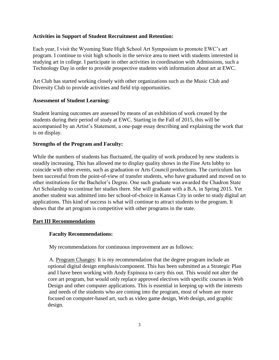#### **Activities in Support of Student Recruitment and Retention:**

Each year, I visit the Wyoming State High School Art Symposium to promote EWC's art program. I continue to visit high schools in the service area to meet with students interested in studying art in college. I participate in other activities in coordination with Admissions, such a Technology Day in order to provide prospective students with information about art at EWC.

Art Club has started working closely with other organizations such as the Music Club and Diversity Club to provide activities and field trip opportunities.

#### **Assessment of Student Learning:**

Student learning outcomes are assessed by means of an exhibition of work created by the students during their period of study at EWC. Starting in the Fall of 2015, this will be accompanied by an Artist's Statement, a one-page essay describing and explaining the work that is on display.

### **Strengths of the Program and Faculty:**

While the numbers of students has fluctuated, the quality of work produced by new students is steadily increasing. This has allowed me to display quality shows in the Fine Arts lobby to coincide with other events, such as graduation or Arts Council productions. The curriculum has been successful from the point-of-view of transfer students, who have graduated and moved on to other institutions for the Bachelor's Degree. One such graduate was awarded the Chadron State Art Scholarship to continue her studies there. She will graduate with a B.A. in Spring 2015. Yet another student was admitted into her school-of-choice in Kansas City in order to study digital art applications. This kind of success is what will continue to attract students to the program. It shows that the art program is competitive with other programs in the state.

## **Part III Recommendations**

## **Faculty Recommendations:**

My recommendations for continuous improvement are as follows:

A. Program Changes: It is my recommendation that the degree program include an optional digital design emphasis/component. This has been submitted as a Strategic Plan and I have been working with Andy Espinoza to carry this out. This would not alter the core art program, but would only replace approved electives with specific courses in Web Design and other computer applications. This is essential in keeping up with the interests and needs of the students who are coming into the program, most of whom are more focused on computer-based art, such as video game design, Web design, and graphic design.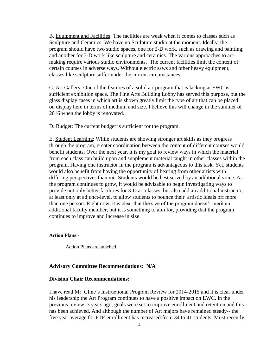B. Equipment and Facilities: The facilities are weak when it comes to classes such as Sculpture and Ceramics. We have no Sculpture studio at the moment. Ideally, the program should have two studio spaces, one for 2-D work, such as drawing and painting; and another for 3-D work like sculpture and ceramics. The various approaches to artmaking require various studio environments. The current facilities limit the content of certain courses in adverse ways. Without electric saws and other heavy equipment, classes like sculpture suffer under the current circumstances.

C. Art Gallery: One of the features of a solid art program that is lacking at EWC is sufficient exhibition space. The Fine Arts Building Lobby has served this purpose, but the glass display cases in which art is shown greatly limit the type of art that can be placed on display here in terms of medium and size. I believe this will change in the summer of 2016 when the lobby is renovated.

D. Budget: The current budget is sufficient for the program.

E. Student Learning: While students are showing stronger art skills as they progress through the program, greater coordination between the content of different courses would benefit students. Over the next year, it is my goal to review ways in which the material from each class can build upon and supplement material taught in other classes within the program. Having one instructor in the program is advantageous to this task. Yet, students would also benefit from having the opportunity of hearing from other artists with differing perspectives than me. Students would be best served by an additional voice. As the program continues to grow, it would be advisable to begin investigating ways to provide not only better facilities for 3-D art classes, but also add an additional instructor, at least only at adjunct-level, to allow students to bounce their artistic ideals off more than one person. Right now, it is clear that the size of the program doesn't merit an additional faculty member, but it is something to aim for, providing that the program continues to improve and increase in size.

#### **Action Plans -**

Action Plans are attached.

#### **Advisory Committee Recommendations: N/A**

#### **Division Chair Recommendations:**

I have read Mr. Cline's Instructional Program Review for 2014-2015 and it is clear under his leadership the Art Program continues to have a positive impact on EWC. In the previous review, 3 years ago, goals were set to improve enrollment and retention and this has been achieved. And although the number of Art majors have remained steady-- the five year average for FTE enrollment has increased from 34 to 41 students. Most recently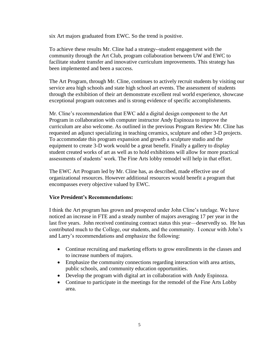six Art majors graduated from EWC. So the trend is positive.

To achieve these results Mr. Cline had a strategy--student engagement with the community through the Art Club, program collaboration between UW and EWC to facilitate student transfer and innovative curriculum improvements. This strategy has been implemented and been a success.

The Art Program, through Mr. Cline, continues to actively recruit students by visiting our service area high schools and state high school art events. The assessment of students through the exhibition of their art demonstrate excellent real world experience, showcase exceptional program outcomes and is strong evidence of specific accomplishments.

Mr. Cline's recommendation that EWC add a digital design component to the Art Program in collaboration with computer instructor Andy Espinoza to improve the curriculum are also welcome. As outlined in the previous Program Review Mr. Cline has requested an adjunct specializing in teaching ceramics, sculpture and other 3-D projects. To accommodate this program expansion and growth a sculpture studio and the equipment to create 3-D work would be a great benefit. Finally a gallery to display student created works of art as well as to hold exhibitions will allow for more practical assessments of students' work. The Fine Arts lobby remodel will help in that effort.

The EWC Art Program led by Mr. Cline has, as described, made effective use of organizational resources. However additional resources would benefit a program that encompasses every objective valued by EWC.

#### **Vice President's Recommendations:**

I think the Art program has grown and prospered under John Cline's tutelage. We have noticed an increase in FTE and a steady number of majors averaging 17 per year in the last five years. John received continuing contract status this year—deservedly so. He has contributed much to the College, our students, and the community. I concur with John's and Larry's recommendations and emphasize the following:

- Continue recruiting and marketing efforts to grow enrollments in the classes and to increase numbers of majors.
- Emphasize the community connections regarding interaction with area artists, public schools, and community education opportunities.
- Develop the program with digital art in collaboration with Andy Espinoza.
- Continue to participate in the meetings for the remodel of the Fine Arts Lobby area.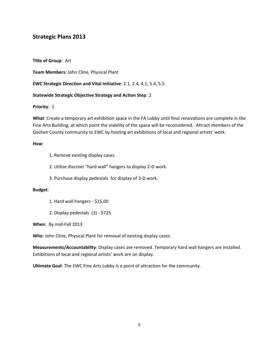## **Strategic Plans 2013**

**Title of Group**: Art

**Team Members**: John Cline, Physical Plant

**EWC Strategic Direction and Vital Initiative**: 2.1, 2.4, 4.1, 5.4, 5.5

#### **Statewide Strategic Objective Strategy and Action Step**: 2

**Priority**: 1

**What**: Create a temporary art exhibition space in the FA Lobby until final renovations are complete in the Fine Arts Building, at which point the viability of the space will be reconsidered. Attract members of the Goshen County community to EWC by hosting art exhibitions of local and regional artists' work.

#### **How**:

- 1. Remove existing display cases.
- 2. Utilize discreet "hard wall" hangers to display 2-D work.
- 3. Purchase display pedestals for display of 3-D work.

#### **Budget**:

- 1. Hard wall hangers \$15.00
- 2. Display pedestals (3) \$725

**When**: By mid-Fall 2013

**Who**: John Cline, Physical Plant for removal of existing display cases.

**Measurements/Accountability**: Display cases are removed. Temporary hard wall hangers are installed. Exhibitions of local and regional artists' work are on display.

**Ultimate Goal**: The EWC Fine Arts Lobby is a point of attraction for the community.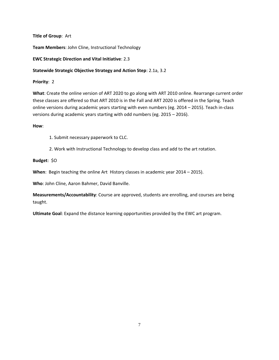**Title of Group**: Art

**Team Members**: John Cline, Instructional Technology

**EWC Strategic Direction and Vital Initiative**: 2.3

#### **Statewide Strategic Objective Strategy and Action Step**: 2.1a, 3.2

**Priority**: 2

**What**: Create the online version of ART 2020 to go along with ART 2010 online. Rearrange current order these classes are offered so that ART 2010 is in the Fall and ART 2020 is offered in the Spring. Teach online versions during academic years starting with even numbers (eg. 2014 – 2015). Teach in-class versions during academic years starting with odd numbers (eg. 2015 – 2016).

**How**:

1. Submit necessary paperwork to CLC.

2. Work with Instructional Technology to develop class and add to the art rotation.

**Budget**: \$O

**When**: Begin teaching the online Art History classes in academic year 2014 – 2015).

**Who**: John Cline, Aaron Bahmer, David Banville.

**Measurements/Accountability**: Course are approved, students are enrolling, and courses are being taught.

**Ultimate Goal**: Expand the distance learning opportunities provided by the EWC art program.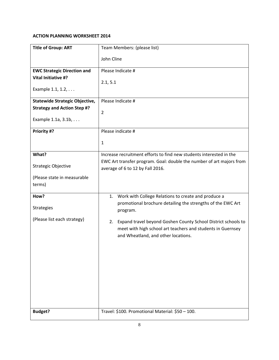| <b>Title of Group: ART</b>            | Team Members: (please list)                                                                                                                                               |
|---------------------------------------|---------------------------------------------------------------------------------------------------------------------------------------------------------------------------|
|                                       | John Cline                                                                                                                                                                |
| <b>EWC Strategic Direction and</b>    | Please Indicate #                                                                                                                                                         |
| Vital Initiative #?                   | 2.1, 5.1                                                                                                                                                                  |
| Example 1.1, 1.2,                     |                                                                                                                                                                           |
| <b>Statewide Strategic Objective,</b> | Please Indicate #                                                                                                                                                         |
| <b>Strategy and Action Step #?</b>    | $\overline{2}$                                                                                                                                                            |
| Example 1.1a, 3.1b,                   |                                                                                                                                                                           |
| Priority #?                           | Please indicate #                                                                                                                                                         |
|                                       | $\mathbf{1}$                                                                                                                                                              |
| What?                                 | Increase recruitment efforts to find new students interested in the                                                                                                       |
| <b>Strategic Objective</b>            | EWC Art transfer program. Goal: double the number of art majors from<br>average of 6 to 12 by Fall 2016.                                                                  |
| (Please state in measurable           |                                                                                                                                                                           |
| terms)                                |                                                                                                                                                                           |
| How?                                  | Work with College Relations to create and produce a<br>1.                                                                                                                 |
| <b>Strategies</b>                     | promotional brochure detailing the strengths of the EWC Art<br>program.                                                                                                   |
| (Please list each strategy)           | Expand travel beyond Goshen County School District schools to<br>2.<br>meet with high school art teachers and students in Guernsey<br>and Wheatland, and other locations. |
|                                       |                                                                                                                                                                           |
|                                       |                                                                                                                                                                           |
|                                       |                                                                                                                                                                           |
|                                       |                                                                                                                                                                           |
|                                       |                                                                                                                                                                           |
|                                       |                                                                                                                                                                           |
| <b>Budget?</b>                        | Travel: \$100. Promotional Material: \$50 - 100.                                                                                                                          |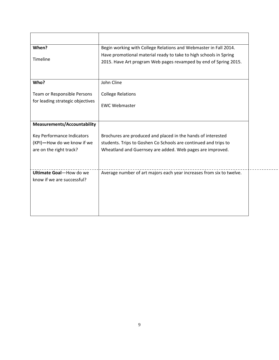| When?                                                                               | Begin working with College Relations and Webmaster in Fall 2014.                                                                                                                             |
|-------------------------------------------------------------------------------------|----------------------------------------------------------------------------------------------------------------------------------------------------------------------------------------------|
| Timeline                                                                            | Have promotional material ready to take to high schools in Spring<br>2015. Have Art program Web pages revamped by end of Spring 2015.                                                        |
| Who?                                                                                | John Cline                                                                                                                                                                                   |
| Team or Responsible Persons<br>for leading strategic objectives                     | <b>College Relations</b><br><b>FWC Webmaster</b>                                                                                                                                             |
| <b>Measurements/Accountability</b>                                                  |                                                                                                                                                                                              |
| Key Performance Indicators<br>(KPI)-How do we know if we<br>are on the right track? | Brochures are produced and placed in the hands of interested<br>students. Trips to Goshen Co Schools are continued and trips to<br>Wheatland and Guernsey are added. Web pages are improved. |
| Ultimate Goal-How do we<br>know if we are successful?                               | Average number of art majors each year increases from six to twelve.                                                                                                                         |

----------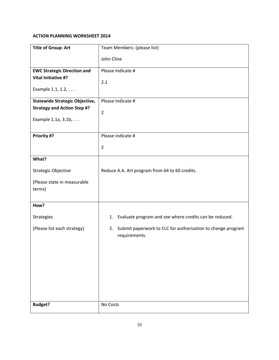| <b>Title of Group: Art</b>                                                     | Team Members: (please list)                                                     |
|--------------------------------------------------------------------------------|---------------------------------------------------------------------------------|
|                                                                                | John Cline                                                                      |
| <b>EWC Strategic Direction and</b><br>Vital Initiative #?<br>Example 1.1, 1.2, | Please Indicate #<br>2.1                                                        |
| <b>Statewide Strategic Objective,</b>                                          | Please Indicate #                                                               |
| <b>Strategy and Action Step #?</b>                                             | $\overline{2}$                                                                  |
| Example 1.1a, 3.1b,                                                            |                                                                                 |
| Priority #?                                                                    | Please indicate #                                                               |
|                                                                                | $\overline{2}$                                                                  |
| What?                                                                          |                                                                                 |
| Strategic Objective                                                            | Reduce A.A. Art program from 64 to 60 credits.                                  |
| (Please state in measurable<br>terms)                                          |                                                                                 |
| How?                                                                           |                                                                                 |
| <b>Strategies</b>                                                              | Evaluate program and see where credits can be reduced.<br>1.                    |
| (Please list each strategy)                                                    | 2. Submit paperwork to CLC for authorization to change program<br>requirements. |
| <b>Budget?</b>                                                                 | No Costs                                                                        |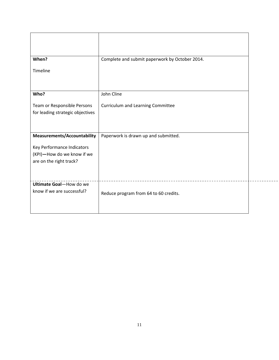| When?                                                 | Complete and submit paperwork by October 2014. |
|-------------------------------------------------------|------------------------------------------------|
| Timeline                                              |                                                |
| Who?                                                  | John Cline                                     |
| Team or Responsible Persons                           | <b>Curriculum and Learning Committee</b>       |
| for leading strategic objectives                      |                                                |
|                                                       |                                                |
| <b>Measurements/Accountability</b>                    | Paperwork is drawn up and submitted.           |
| Key Performance Indicators                            |                                                |
| (KPI)-How do we know if we<br>are on the right track? |                                                |
|                                                       |                                                |
| Ultimate Goal-How do we                               |                                                |
| know if we are successful?                            | Reduce program from 64 to 60 credits.          |
|                                                       |                                                |
|                                                       |                                                |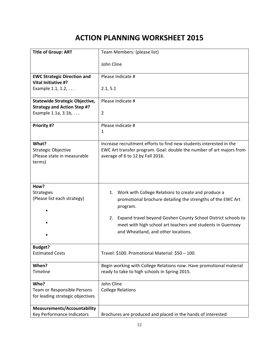| <b>Title of Group: ART</b>                                                   | Team Members: (please list)                                                                                                                                                                              |
|------------------------------------------------------------------------------|----------------------------------------------------------------------------------------------------------------------------------------------------------------------------------------------------------|
|                                                                              | John Cline                                                                                                                                                                                               |
| <b>EWC Strategic Direction and</b>                                           | Please Indicate #                                                                                                                                                                                        |
| Vital Initiative #?<br>Example 1.1, 1.2,                                     | 2.1, 5.1                                                                                                                                                                                                 |
| <b>Statewide Strategic Objective,</b>                                        | Please Indicate #                                                                                                                                                                                        |
| <b>Strategy and Action Step #?</b>                                           |                                                                                                                                                                                                          |
| Example 1.1a, 3.1b,                                                          | 2                                                                                                                                                                                                        |
| Priority #?                                                                  | Please indicate #                                                                                                                                                                                        |
|                                                                              | 1                                                                                                                                                                                                        |
| What?<br><b>Strategic Objective</b><br>(Please state in measurable<br>terms) | Increase recruitment efforts to find new students interested in the<br>EWC Art transfer program. Goal: double the number of art majors from<br>average of 6 to 12 by Fall 2016.                          |
| How?<br><b>Strategies</b><br>(Please list each strategy)                     | 1. Work with College Relations to create and produce a<br>promotional brochure detailing the strengths of the EWC Art<br>program.<br>Expand travel beyond Goshen County School District schools to<br>2. |
|                                                                              | meet with high school art teachers and students in Guernsey<br>and Wheatland, and other locations.                                                                                                       |
| <b>Budget?</b>                                                               |                                                                                                                                                                                                          |
| <b>Estimated Costs</b>                                                       | Travel: \$100. Promotional Material: \$50 - 100.                                                                                                                                                         |
| When?                                                                        | Begin working with College Relations now. Have promotional material                                                                                                                                      |
| Timeline                                                                     | ready to take to high schools in Spring 2015.                                                                                                                                                            |
| Who?                                                                         | John Cline                                                                                                                                                                                               |
| Team or Responsible Persons<br>for leading strategic objectives              | <b>College Relations</b>                                                                                                                                                                                 |
| <b>Measurements/Accountability</b>                                           |                                                                                                                                                                                                          |
| Key Performance Indicators                                                   | Brochures are produced and placed in the hands of interested                                                                                                                                             |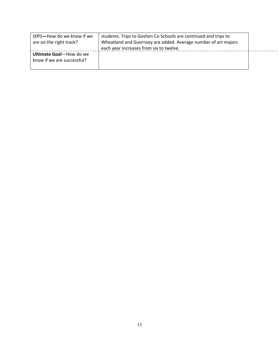| (KPI)-How do we know if we<br>are on the right track? | students. Trips to Goshen Co Schools are continued and trips to<br>Wheatland and Guernsey are added. Average number of art majors<br>each year increases from six to twelve. |  |
|-------------------------------------------------------|------------------------------------------------------------------------------------------------------------------------------------------------------------------------------|--|
| Ultimate Goal-How do we<br>know if we are successful? |                                                                                                                                                                              |  |

 $\sim$   $\sim$